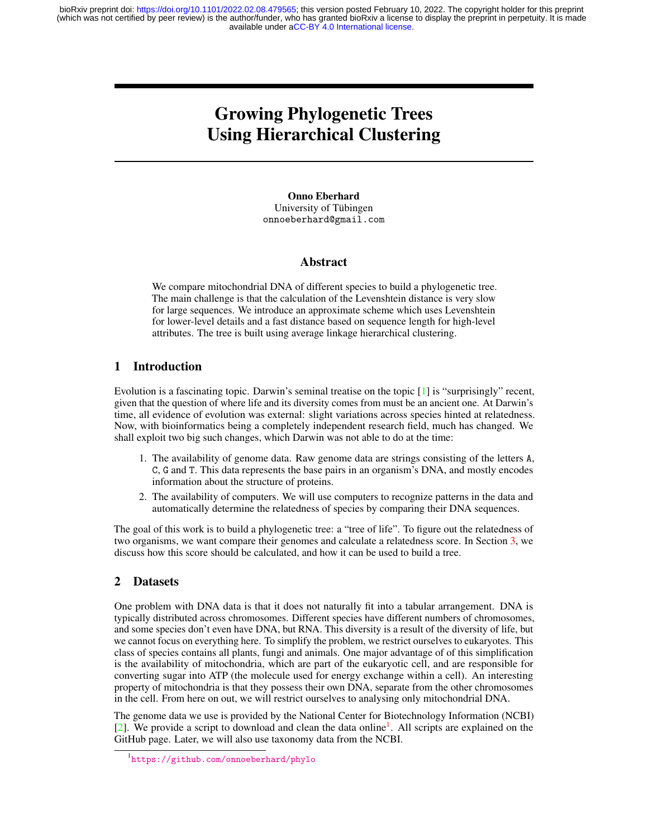available under [aCC-BY 4.0 International license.](http://creativecommons.org/licenses/by/4.0/) (which was not certified by peer review) is the author/funder, who has granted bioRxiv a license to display the preprint in perpetuity. It is made bioRxiv preprint doi: [https://doi.org/10.1101/2022.02.08.479565;](https://doi.org/10.1101/2022.02.08.479565) this version posted February 10, 2022. The copyright holder for this preprint

# Growing Phylogenetic Trees Using Hierarchical Clustering

Onno Eberhard University of Tübingen onnoeberhard@gmail.com

#### Abstract

We compare mitochondrial DNA of different species to build a phylogenetic tree. The main challenge is that the calculation of the Levenshtein distance is very slow for large sequences. We introduce an approximate scheme which uses Levenshtein for lower-level details and a fast distance based on sequence length for high-level attributes. The tree is built using average linkage hierarchical clustering.

# 1 Introduction

Evolution is a fascinating topic. Darwin's seminal treatise on the topic [\[1\]](#page-2-0) is "surprisingly" recent, given that the question of where life and its diversity comes from must be an ancient one. At Darwin's time, all evidence of evolution was external: slight variations across species hinted at relatedness. Now, with bioinformatics being a completely independent research field, much has changed. We shall exploit two big such changes, which Darwin was not able to do at the time:

- 1. The availability of genome data. Raw genome data are strings consisting of the letters A, C, G and T. This data represents the base pairs in an organism's DNA, and mostly encodes information about the structure of proteins.
- 2. The availability of computers. We will use computers to recognize patterns in the data and automatically determine the relatedness of species by comparing their DNA sequences.

The goal of this work is to build a phylogenetic tree: a "tree of life". To figure out the relatedness of two organisms, we want compare their genomes and calculate a relatedness score. In Section [3,](#page-1-0) we discuss how this score should be calculated, and how it can be used to build a tree.

# 2 Datasets

One problem with DNA data is that it does not naturally fit into a tabular arrangement. DNA is typically distributed across chromosomes. Different species have different numbers of chromosomes, and some species don't even have DNA, but RNA. This diversity is a result of the diversity of life, but we cannot focus on everything here. To simplify the problem, we restrict ourselves to eukaryotes. This class of species contains all plants, fungi and animals. One major advantage of of this simplification is the availability of mitochondria, which are part of the eukaryotic cell, and are responsible for converting sugar into ATP (the molecule used for energy exchange within a cell). An interesting property of mitochondria is that they possess their own DNA, separate from the other chromosomes in the cell. From here on out, we will restrict ourselves to analysing only mitochondrial DNA.

The genome data we use is provided by the National Center for Biotechnology Information (NCBI) [\[2\]](#page-2-1). We provide a script to download and clean the data online<sup>[1](#page-0-0)</sup>. All scripts are explained on the GitHub page. Later, we will also use taxonomy data from the NCBI.

<span id="page-0-0"></span><sup>1</sup> <https://github.com/onnoeberhard/phylo>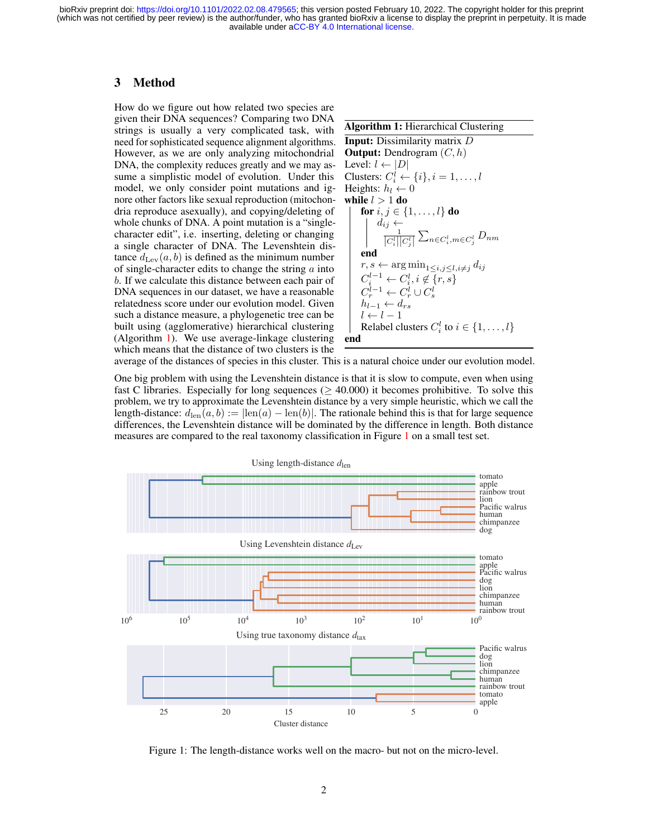available under [aCC-BY 4.0 International license.](http://creativecommons.org/licenses/by/4.0/) (which was not certified by peer review) is the author/funder, who has granted bioRxiv a license to display the preprint in perpetuity. It is made bioRxiv preprint doi: [https://doi.org/10.1101/2022.02.08.479565;](https://doi.org/10.1101/2022.02.08.479565) this version posted February 10, 2022. The copyright holder for this preprint

## <span id="page-1-0"></span>3 Method

How do we figure out how related two species are given their DNA sequences? Comparing two DNA strings is usually a very complicated task, with need for sophisticated sequence alignment algorithms. However, as we are only analyzing mitochondrial DNA, the complexity reduces greatly and we may assume a simplistic model of evolution. Under this model, we only consider point mutations and ignore other factors like sexual reproduction (mitochondria reproduce asexually), and copying/deleting of whole chunks of DNA. A point mutation is a "singlecharacter edit", i.e. inserting, deleting or changing a single character of DNA. The Levenshtein distance  $d_{\text{Lev}}(a, b)$  is defined as the minimum number of single-character edits to change the string  $a$  into b. If we calculate this distance between each pair of DNA sequences in our dataset, we have a reasonable relatedness score under our evolution model. Given such a distance measure, a phylogenetic tree can be built using (agglomerative) hierarchical clustering (Algorithm [1\)](#page-1-1). We use average-linkage clustering which means that the distance of two clusters is the

<span id="page-1-1"></span>

| Algorithm 1: Hierarchical Clustering                                                                                                                                                                                                                                                                                                                                                                                                                                                                                                                                                                                                                                                                                                                                                                                                                       |                                            |
|------------------------------------------------------------------------------------------------------------------------------------------------------------------------------------------------------------------------------------------------------------------------------------------------------------------------------------------------------------------------------------------------------------------------------------------------------------------------------------------------------------------------------------------------------------------------------------------------------------------------------------------------------------------------------------------------------------------------------------------------------------------------------------------------------------------------------------------------------------|--------------------------------------------|
| Input:                                                                                                                                                                                                                                                                                                                                                                                                                                                                                                                                                                                                                                                                                                                                                                                                                                                     | Dissimilarity matrix $D$                   |
| Output:                                                                                                                                                                                                                                                                                                                                                                                                                                                                                                                                                                                                                                                                                                                                                                                                                                                    | Dendrogram $(C, h)$                        |
| Level:                                                                                                                                                                                                                                                                                                                                                                                                                                                                                                                                                                                                                                                                                                                                                                                                                                                     | $l \leftarrow  D $                         |
| Clusters:                                                                                                                                                                                                                                                                                                                                                                                                                                                                                                                                                                                                                                                                                                                                                                                                                                                  | $C_i^l \leftarrow \{i\}, i = 1, \ldots, l$ |
| Heights:                                                                                                                                                                                                                                                                                                                                                                                                                                                                                                                                                                                                                                                                                                                                                                                                                                                   | $h_l \leftarrow 0$                         |
| while $l > 1$ do                                                                                                                                                                                                                                                                                                                                                                                                                                                                                                                                                                                                                                                                                                                                                                                                                                           |                                            |
| for $i, j \in \{1, \ldots, l\}$ do                                                                                                                                                                                                                                                                                                                                                                                                                                                                                                                                                                                                                                                                                                                                                                                                                         |                                            |
| for $i, j \in \{1, \ldots, l\}$ do                                                                                                                                                                                                                                                                                                                                                                                                                                                                                                                                                                                                                                                                                                                                                                                                                         |                                            |
| for $i, j \in \{1, \ldots, l\}$ do                                                                                                                                                                                                                                                                                                                                                                                                                                                                                                                                                                                                                                                                                                                                                                                                                         |                                            |
| for $i \leftarrow j$ and $i \leftarrow j$ and $i \leftarrow j$ and $i \leftarrow j$ and $i \leftarrow j$ and $i \leftarrow j$ and $i \leftarrow j$ and $i \leftarrow j$ and $i \leftarrow j$ and $i \leftarrow j$ and $i \leftarrow j$ and $i \leftarrow j$ and $i \leftarrow j$ and $i \leftarrow j$ and $i \leftarrow j$ and $i \leftarrow j$ and $i \leftarrow j$ and $i \leftarrow j$ and $i \leftarrow j$ and $i \leftarrow j$ and $i \leftarrow j$ and $i \leftarrow j$ and $i \leftarrow j$ and $i \leftarrow j$ and $i \leftarrow j$ and $i \leftarrow j$ and $i \leftarrow j$ and $i \leftarrow j$ and $i \leftarrow j$ and $i \leftarrow j$ and $i \leftarrow j$ and $i \leftarrow j$ and $i \leftarrow j$ and $i \leftarrow j$ and $i \leftarrow j$ and $i \leftarrow j$ and $i \leftarrow j$ and $j$ and $j$ and $j$ and <math< th=""></math<> |                                            |

average of the distances of species in this cluster. This is a natural choice under our evolution model.

One big problem with using the Levenshtein distance is that it is slow to compute, even when using fast C libraries. Especially for long sequences ( $\geq$  40.000) it becomes prohibitive. To solve this problem, we try to approximate the Levenshtein distance by a very simple heuristic, which we call the length-distance:  $d_{\text{len}}(a, b) := |\text{len}(a) - \text{len}(b)|$ . The rationale behind this is that for large sequence differences, the Levenshtein distance will be dominated by the difference in length. Both distance measures are compared to the real taxonomy classification in Figure [1](#page-1-2) on a small test set.



<span id="page-1-2"></span>Figure 1: The length-distance works well on the macro- but not on the micro-level.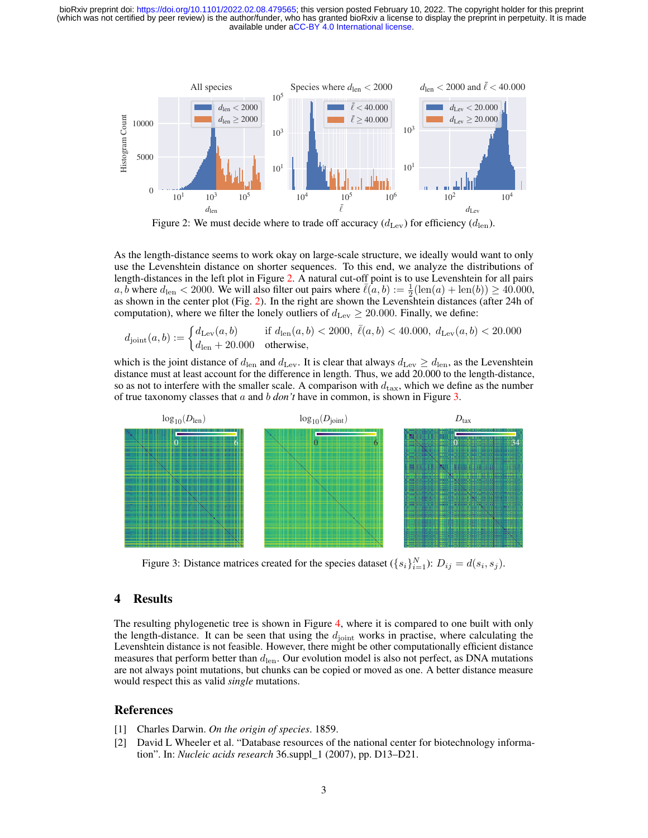available under [aCC-BY 4.0 International license.](http://creativecommons.org/licenses/by/4.0/) (which was not certified by peer review) is the author/funder, who has granted bioRxiv a license to display the preprint in perpetuity. It is made bioRxiv preprint doi: [https://doi.org/10.1101/2022.02.08.479565;](https://doi.org/10.1101/2022.02.08.479565) this version posted February 10, 2022. The copyright holder for this preprint



<span id="page-2-2"></span>As the length-distance seems to work okay on large-scale structure, we ideally would want to only use the Levenshtein distance on shorter sequences. To this end, we analyze the distributions of length-distances in the left plot in Figure [2.](#page-2-2) A natural cut-off point is to use Levenshtein for all pairs a, b where  $d_{\text{len}} < 2000$ . We will also filter out pairs where  $\bar{\ell}(a, b) := \frac{1}{2}(\text{len}(a) + \text{len}(b)) \ge 40.000$ , as shown in the center plot (Fig. [2\)](#page-2-2). In the right are shown the Levenshtein distances (after 24h of computation), where we filter the lonely outliers of  $d_{\text{Lev}} \geq 20.000$ . Finally, we define:

$$
d_{\text{joint}}(a, b) := \begin{cases} d_{\text{Lev}}(a, b) & \text{if } d_{\text{len}}(a, b) < 2000, \ \bar{\ell}(a, b) < 40.000, \ d_{\text{Lev}}(a, b) < 20.000 \\ d_{\text{len}} + 20.000 & \text{otherwise,} \end{cases}
$$

which is the joint distance of  $d_{\text{len}}$  and  $d_{\text{Lev}}$ . It is clear that always  $d_{\text{Lev}} \geq d_{\text{len}}$ , as the Levenshtein distance must at least account for the difference in length. Thus, we add 20.000 to the length-distance, so as not to interfere with the smaller scale. A comparison with  $d_{\text{tax}}$ , which we define as the number of true taxonomy classes that a and b *don't* have in common, is shown in Figure [3.](#page-2-3)



<span id="page-2-3"></span>Figure 3: Distance matrices created for the species dataset  $({s_i}_{i=1}^N)$ :  $D_{ij} = d(s_i, s_j)$ .

### 4 Results

The resulting phylogenetic tree is shown in Figure [4,](#page-3-0) where it is compared to one built with only the length-distance. It can be seen that using the  $d_{\text{joint}}$  works in practise, where calculating the Levenshtein distance is not feasible. However, there might be other computationally efficient distance measures that perform better than  $d_{\text{len}}$ . Our evolution model is also not perfect, as DNA mutations are not always point mutations, but chunks can be copied or moved as one. A better distance measure would respect this as valid *single* mutations.

#### References

- <span id="page-2-0"></span>[1] Charles Darwin. *On the origin of species*. 1859.
- <span id="page-2-1"></span>[2] David L Wheeler et al. "Database resources of the national center for biotechnology information". In: *Nucleic acids research* 36.suppl\_1 (2007), pp. D13–D21.